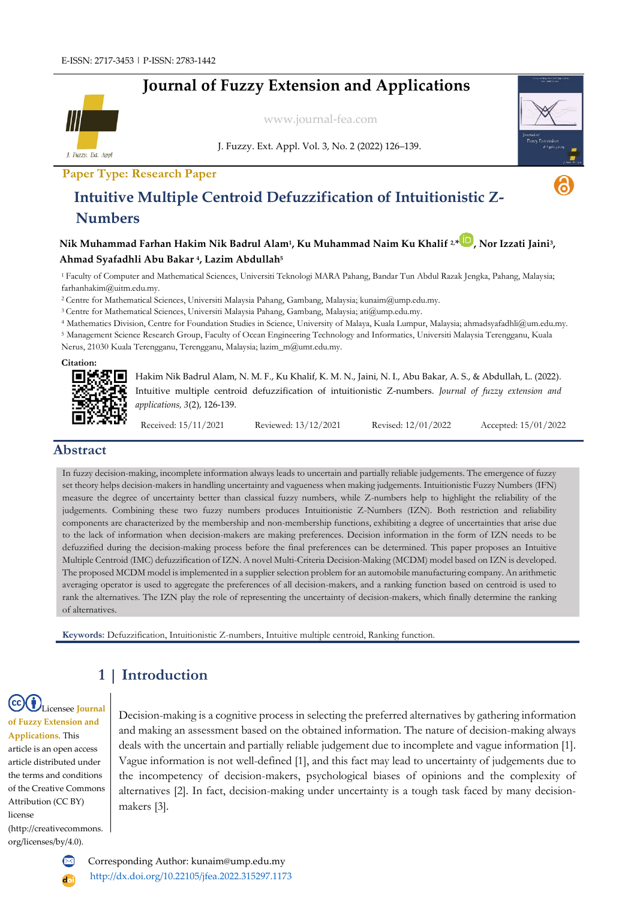# **Journal of Fuzzy Extension and Applications**



[www.journal-fea.com](http://www.journal-fea.com/)

J. Fuzzy. Ext. Appl. Vol. 3, No. 2 (2022) 126–139.



## **Intuitive Multiple Centroid Defuzzification of Intuitionistic Z-Numbers**

### **Nik Muhammad Farhan Hakim Nik Badrul Alam<sup>1</sup> , Ku Muhammad Naim Ku Khalif 2,\* , Nor Izzati Jaini<sup>3</sup> , Ahmad Syafadhli Abu Bakar <sup>4</sup> , Lazim Abdullah<sup>5</sup>**

<sup>1</sup>Faculty of Computer and Mathematical Sciences, Universiti Teknologi MARA Pahang, Bandar Tun Abdul Razak Jengka, Pahang, Malaysia; farhanhakim@uitm.edu.my.

<sup>2</sup>Centre for Mathematical Sciences, Universiti Malaysia Pahang, Gambang, Malaysia; [kunaim@ump.edu.my.](mailto:kunaim@ump.edu.my)

<sup>3</sup>Centre for Mathematical Sciences, Universiti Malaysia Pahang, Gambang, Malaysia; [ati@ump.edu.my.](mailto:ati@ump.edu.my)

<sup>4</sup> Mathematics Division, Centre for Foundation Studies in Science, University of Malaya, Kuala Lumpur, Malaysia; ahmadsyafadhli@um.edu.my.

<sup>5</sup> Management Science Research Group, Faculty of Ocean Engineering Technology and Informatics, Universiti Malaysia Terengganu, Kuala Nerus, 21030 Kuala Terengganu, Terengganu, Malaysia; lazim\_m@umt.edu.my.

**Citation:**



Hakim Nik Badrul Alam, N. M. F., Ku Khalif, K. M. N., Jaini, N. I., Abu Bakar, A. S., & Abdullah, L. (2022). Intuitive multiple centroid defuzzification of intuitionistic Z-numbers. *Journal of fuzzy extension and applications, 3*(2), 126-139.

Received: 15/11/2021 Reviewed: 13/12/2021 Revised: 12/01/2022 Accepted: 15/01/2022

#### **Abstract**

In fuzzy decision-making, incomplete information always leads to uncertain and partially reliable judgements. The emergence of fuzzy set theory helps decision-makers in handling uncertainty and vagueness when making judgements. Intuitionistic Fuzzy Numbers (IFN) measure the degree of uncertainty better than classical fuzzy numbers, while Z-numbers help to highlight the reliability of the judgements. Combining these two fuzzy numbers produces Intuitionistic Z-Numbers (IZN). Both restriction and reliability components are characterized by the membership and non-membership functions, exhibiting a degree of uncertainties that arise due to the lack of information when decision-makers are making preferences. Decision information in the form of IZN needs to be defuzzified during the decision-making process before the final preferences can be determined. This paper proposes an Intuitive Multiple Centroid (IMC) defuzzification of IZN. A novel Multi-Criteria Decision-Making (MCDM) model based on IZN is developed. The proposed MCDM model is implemented in a supplier selection problem for an automobile manufacturing company. An arithmetic averaging operator is used to aggregate the preferences of all decision-makers, and a ranking function based on centroid is used to rank the alternatives. The IZN play the role of representing the uncertainty of decision-makers, which finally determine the ranking of alternatives.

**Keywords:** Defuzzification, Intuitionistic Z-numbers, Intuitive multiple centroid, Ranking function.

## **1 | Introduction**

Licensee **Journal of Fuzzy Extension and Applications**. This article is an open access article distributed under the terms and conditions of the Creative Commons Attribution (CC BY) license (http://creativecommons. org/licenses/by/4.0).

Decision-making is a cognitive process in selecting the preferred alternatives by gathering information and making an assessment based on the obtained information. The nature of decision-making always deals with the uncertain and partially reliable judgement due to incomplete and vague information [1]. Vague information is not well-defined [1], and this fact may lead to uncertainty of judgements due to the incompetency of decision-makers, psychological biases of opinions and the complexity of alternatives [2]. In fact, decision-making under uncertainty is a tough task faced by many decisionmakers [3].

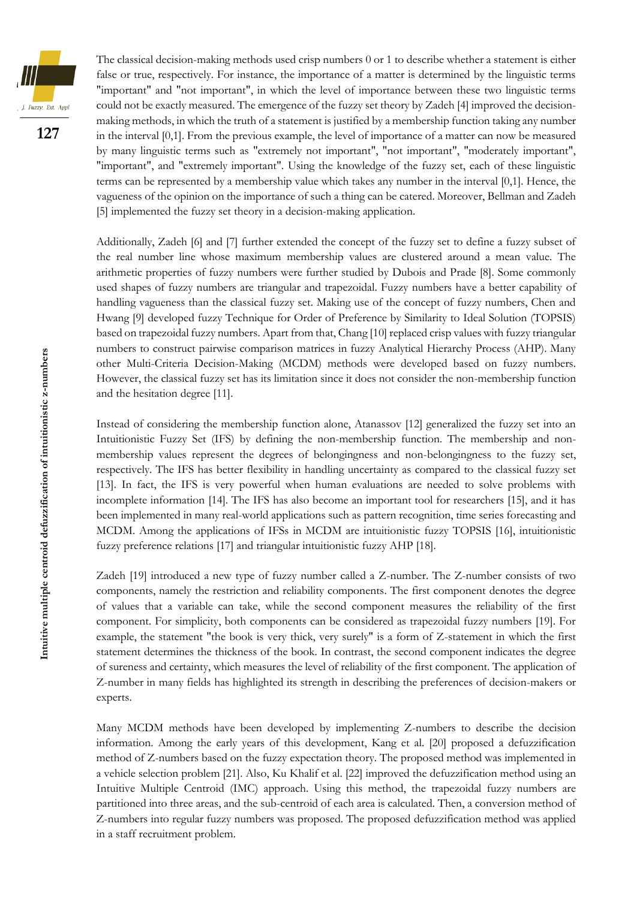

The classical decision-making methods used crisp numbers 0 or 1 to describe whether a statement is either false or true, respectively. For instance, the importance of a matter is determined by the linguistic terms "important" and "not important", in which the level of importance between these two linguistic terms could not be exactly measured. The emergence of the fuzzy set theory by Zadeh [4] improved the decisionmaking methods, in which the truth of a statement is justified by a membership function taking any number in the interval [0,1]. From the previous example, the level of importance of a matter can now be measured by many linguistic terms such as "extremely not important", "not important", "moderately important", "important", and "extremely important". Using the knowledge of the fuzzy set, each of these linguistic terms can be represented by a membership value which takes any number in the interval [0,1]. Hence, the vagueness of the opinion on the importance of such a thing can be catered. Moreover, Bellman and Zadeh [5] implemented the fuzzy set theory in a decision-making application.

Additionally, Zadeh [6] and [7] further extended the concept of the fuzzy set to define a fuzzy subset of the real number line whose maximum membership values are clustered around a mean value. The arithmetic properties of fuzzy numbers were further studied by Dubois and Prade [8]. Some commonly used shapes of fuzzy numbers are triangular and trapezoidal. Fuzzy numbers have a better capability of handling vagueness than the classical fuzzy set. Making use of the concept of fuzzy numbers, Chen and Hwang [9] developed fuzzy Technique for Order of Preference by Similarity to Ideal Solution (TOPSIS) based on trapezoidal fuzzy numbers. Apart from that, Chang [10] replaced crisp values with fuzzy triangular numbers to construct pairwise comparison matrices in fuzzy Analytical Hierarchy Process (AHP). Many other Multi-Criteria Decision-Making (MCDM) methods were developed based on fuzzy numbers. However, the classical fuzzy set has its limitation since it does not consider the non-membership function and the hesitation degree [11].

Instead of considering the membership function alone, Atanassov [12] generalized the fuzzy set into an Intuitionistic Fuzzy Set (IFS) by defining the non-membership function. The membership and nonmembership values represent the degrees of belongingness and non-belongingness to the fuzzy set, respectively. The IFS has better flexibility in handling uncertainty as compared to the classical fuzzy set [13]. In fact, the IFS is very powerful when human evaluations are needed to solve problems with incomplete information [14]. The IFS has also become an important tool for researchers [15], and it has been implemented in many real-world applications such as pattern recognition, time series forecasting and MCDM. Among the applications of IFSs in MCDM are intuitionistic fuzzy TOPSIS [16], intuitionistic fuzzy preference relations [17] and triangular intuitionistic fuzzy AHP [18].

Zadeh [19] introduced a new type of fuzzy number called a Z-number. The Z-number consists of two components, namely the restriction and reliability components. The first component denotes the degree of values that a variable can take, while the second component measures the reliability of the first component. For simplicity, both components can be considered as trapezoidal fuzzy numbers [19]. For example, the statement "the book is very thick, very surely" is a form of Z-statement in which the first statement determines the thickness of the book. In contrast, the second component indicates the degree of sureness and certainty, which measures the level of reliability of the first component. The application of Z-number in many fields has highlighted its strength in describing the preferences of decision-makers or experts.

Many MCDM methods have been developed by implementing Z-numbers to describe the decision information. Among the early years of this development, Kang et al. [20] proposed a defuzzification method of Z-numbers based on the fuzzy expectation theory. The proposed method was implemented in a vehicle selection problem [21]. Also, Ku Khalif et al. [22] improved the defuzzification method using an Intuitive Multiple Centroid (IMC) approach. Using this method, the trapezoidal fuzzy numbers are partitioned into three areas, and the sub-centroid of each area is calculated. Then, a conversion method of Z-numbers into regular fuzzy numbers was proposed. The proposed defuzzification method was applied in a staff recruitment problem.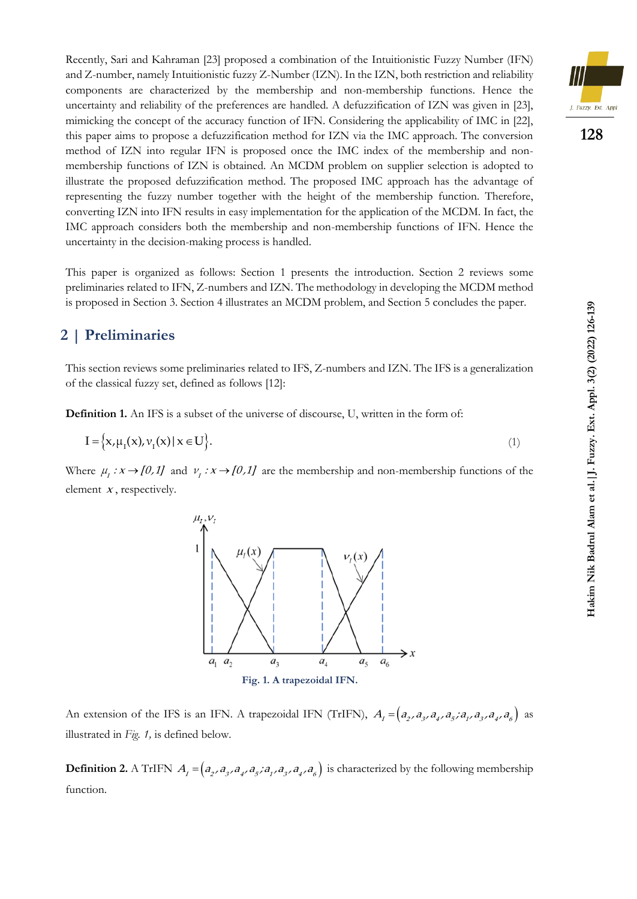Recently, Sari and Kahraman [23] proposed a combination of the Intuitionistic Fuzzy Number (IFN) and Z-number, namely Intuitionistic fuzzy Z-Number (IZN). In the IZN, both restriction and reliability components are characterized by the membership and non-membership functions. Hence the uncertainty and reliability of the preferences are handled. A defuzzification of IZN was given in [23], mimicking the concept of the accuracy function of IFN. Considering the applicability of IMC in [22], this paper aims to propose a defuzzification method for IZN via the IMC approach. The conversion method of IZN into regular IFN is proposed once the IMC index of the membership and nonmembership functions of IZN is obtained. An MCDM problem on supplier selection is adopted to illustrate the proposed defuzzification method. The proposed IMC approach has the advantage of representing the fuzzy number together with the height of the membership function. Therefore, converting IZN into IFN results in easy implementation for the application of the MCDM. In fact, the IMC approach considers both the membership and non-membership functions of IFN. Hence the uncertainty in the decision-making process is handled.

This paper is organized as follows: Section 1 presents the introduction. Section 2 reviews some preliminaries related to IFN, Z-numbers and IZN. The methodology in developing the MCDM method is proposed in Section 3. Section 4 illustrates an MCDM problem, and Section 5 concludes the paper.

### **2 | Preliminaries**

This section reviews some preliminaries related to IFS, Z-numbers and IZN. The IFS is a generalization of the classical fuzzy set, defined as follows [12]:

**Definition 1.** An IFS is a subset of the universe of discourse, U, written in the form of:

$$
I = \left\{ x, \mu_I(x), \nu_I(x) \mid x \in U \right\}.
$$
 (1)

Where  $\mu_1: x \to [0,1]$  and  $\nu_1: x \to [0,1]$  are the membership and non-membership functions of the element  $x$ , respectively.



An extension of the IFS is an IFN. A trapezoidal IFN (TrIFN),  $A_t = (a_2, a_3, a_4, a_5, a_1, a_3, a_4, a_6)$  as illustrated in *Fig. 1,* is defined below.

**Definition 2.** A TrIFN  $A_i = (a_2, a_3, a_4, a_5, a_1, a_3, a_4, a_6)$  is characterized by the following membership function.

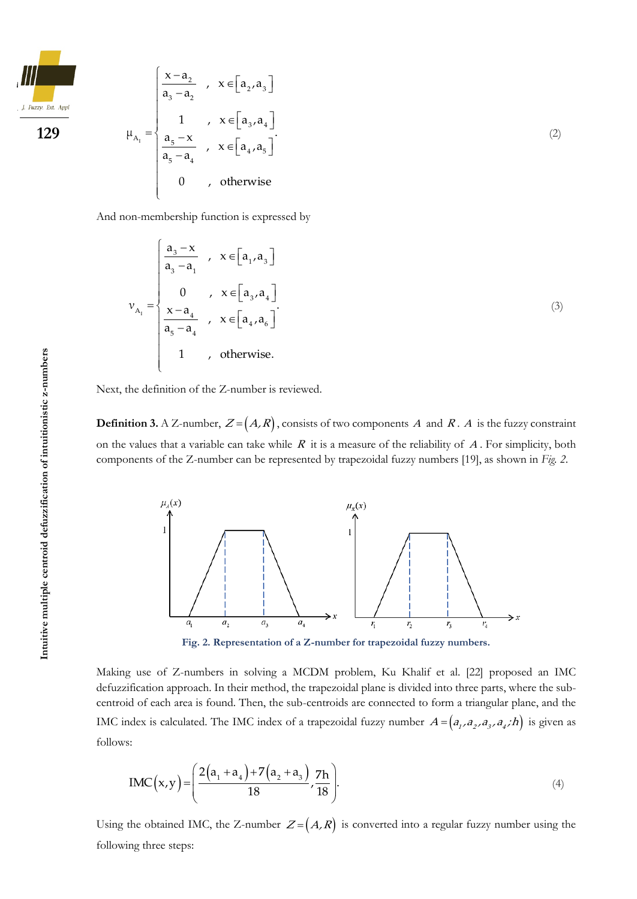$$
\frac{1}{\frac{1. \text{Fuzzy. Ext. Appl}}{100}}
$$

**129**

$$
\mu_{A_1} = \begin{cases}\n\frac{x - a_2}{a_3 - a_2} & , x \in [a_2, a_3] \\
1 & , x \in [a_3, a_4] \\
\frac{a_5 - x}{a_5 - a_4} & , x \in [a_4, a_5] \\
0 & , \text{ otherwise}\n\end{cases}
$$
\n(2)

And non-membership function is expressed by

$$
v_{A_1} = \begin{cases} \frac{a_3 - x}{a_3 - a_1} & , x \in [a_1, a_3] \\ 0 & , x \in [a_3, a_4] \\ \frac{x - a_4}{a_5 - a_4} & , x \in [a_4, a_6] \\ 1 & , \text{ otherwise.} \end{cases}
$$
(3)

Next, the definition of the Z-number is reviewed.

**Definition 3.** A Z-number,  $Z = (A, R)$ , consists of two components A and R. A is the fuzzy constraint on the values that a variable can take while  $R$  it is a measure of the reliability of  $A$ . For simplicity, both components of the Z-number can be represented by trapezoidal fuzzy numbers [19], as shown in *Fig. 2*.



Making use of Z-numbers in solving a MCDM problem, Ku Khalif et al. [22] proposed an IMC defuzzification approach. In their method, the trapezoidal plane is divided into three parts, where the subcentroid of each area is found. Then, the sub-centroids are connected to form a triangular plane, and the IMC index is calculated. The IMC index of a trapezoidal fuzzy number  $A = (a_1, a_2, a_3, a_4; h)$  is given as follows:

$$
IMC(x,y) = \left(\frac{2(a_1 + a_4) + 7(a_2 + a_3)}{18}, \frac{7h}{18}\right).
$$
\n(4)

Using the obtained IMC, the Z-number  $Z = (A, R)$  is converted into a regular fuzzy number using the following three steps: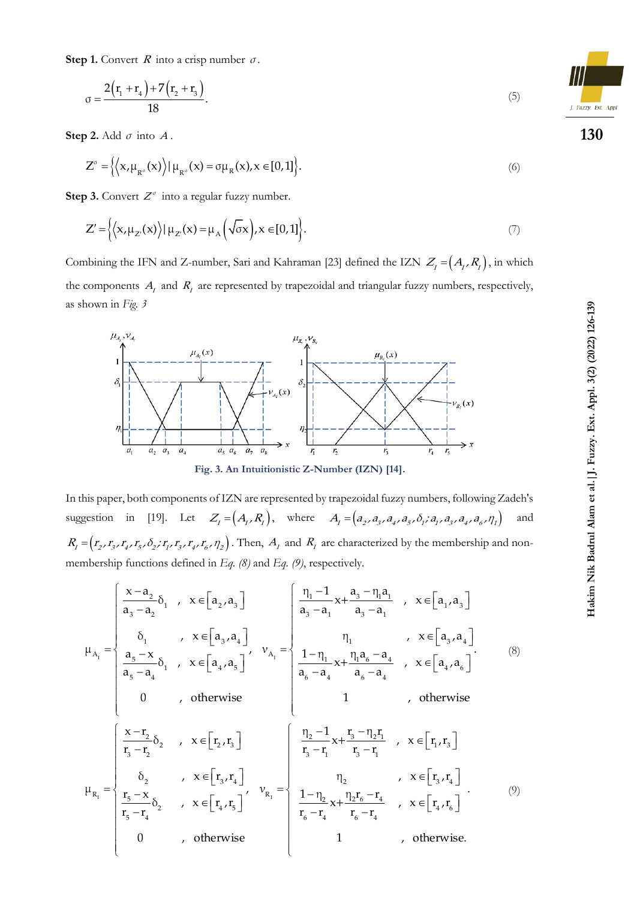**Step 1.** Convert  $R$  into a crisp number  $\sigma$ .

$$
\sigma = \frac{2(r_1 + r_4) + 7(r_2 + r_3)}{18}.
$$
\n(5)

**Step 2.** Add  $\sigma$  into  $A$ .

$$
Z^{\sigma} = \left\{ \left\langle x, \mu_{R^{\sigma}}(x) \right\rangle | \mu_{R^{\sigma}}(x) = \sigma \mu_{R}(x), x \in [0,1] \right\}.
$$
 (6)

**Step 3.** Convert  $Z^{\sigma}$  into a regular fuzzy number.

$$
Z' = \left\{ \left\langle x, \mu_{Z'}(x) \right\rangle | \mu_{Z'}(x) = \mu_A \left( \sqrt{\sigma} x \right), x \in [0, 1] \right\}. \tag{7}
$$

Combining the IFN and Z-number, Sari and Kahraman [23] defined the IZN  $Z_i = (A_i, R_i)$ , in which the components  $A_t$  and  $R_t$  are represented by trapezoidal and triangular fuzzy numbers, respectively, as shown in *Fig. 3*



In this paper, both components of IZN are represented by trapezoidal fuzzy numbers, following Zadeh's suggestion in [19]. Let  $Z_i = (A_i, R_i)$ , where  $A_i = (a_2, a_3, a_4, a_5, \delta_i, a_1, a_3, a_4, a_6, \eta_1)$ and  $R_I = (r_2, r_3, r_4, r_5, \delta_2; r_1, r_3, r_4, r_6, r_2)$ . Then,  $A_I$  and  $R_I$  are characterized by the membership and nonmembership functions defined in *Eq. (8)* and *Eq. (9)*, respectively.

nbership functions defined in Eq. (8) and Eq. (9), respectively.  
\n
$$
\mu_{A_1} = \begin{cases}\n\frac{x-a_2}{a_3-a_2}\delta_1, x \in [a_2,a_3] \\
\delta_1, x \in [a_3,a_4] \\
\frac{a_5-x}{a_5-a_4}\delta_1, x \in [a_4,a_5]\n\end{cases}, \quad v_{A_1} = \begin{cases}\n\frac{\eta_1 - 1}{a_3-a_1}x + \frac{a_3 - \eta_1 a_1}{a_3-a_1}, x \in [a_1,a_3] \\
\frac{\eta_1}{a_3-a_1}x + \frac{\eta_1 a_6 - a_4}{a_3-a_1}, x \in [a_4,a_6]\n\end{cases}
$$
\n
$$
\mu_{R_1} = \begin{cases}\n\frac{x-r_2}{r_3-r_2}\delta_2, x \in [r_2,r_3] \\
\frac{\delta_2}{r_3-r_2}\delta_2, x \in [r_3,r_4]\n\end{cases}, \quad v_{R_1} = \begin{cases}\n\frac{\eta_2 - 1}{r_3-r_1}x + \frac{r_3 - \eta_2 r_1}{r_3-r_1}, x \in [r_1,r_3] \\
\frac{r_5 - x}{r_5-r_4}\delta_2, x \in [r_4,r_5]\n\end{cases}
$$
\n
$$
\mu_{R_1} = \begin{cases}\n\frac{x-r_2}{r_5-r_4}\delta_2, x \in [r_4,r_5] \\
0, x \in [r_4,r_5]\n\end{cases}, \quad v_{R_1} = \begin{cases}\n\frac{\eta_2 - 1}{r_5-r_4}x + \frac{\eta_2 r_6 - r_4}{r_6-r_4}, x \in [r_4,r_6]\n\end{cases}
$$
\n
$$
\mu_{R_1} = \begin{cases}\n0, x \in [r_4,r_5] \\
0, x \in [r_4,r_5]\n\end{cases}
$$
\n
$$
\mu_{R_1} = \begin{cases}\n0, x \in [r_4,r_5] \\
0, x \in [r_4,r_5]\n\end{cases}
$$
\n
$$
\mu_{R_1} = \begin{cases}\n0, x \in [r_4,r_5] \\
0, x \in [r_4,r_5]\n\end{cases}
$$
\n
$$
\mu_{R_1} = \begin{
$$

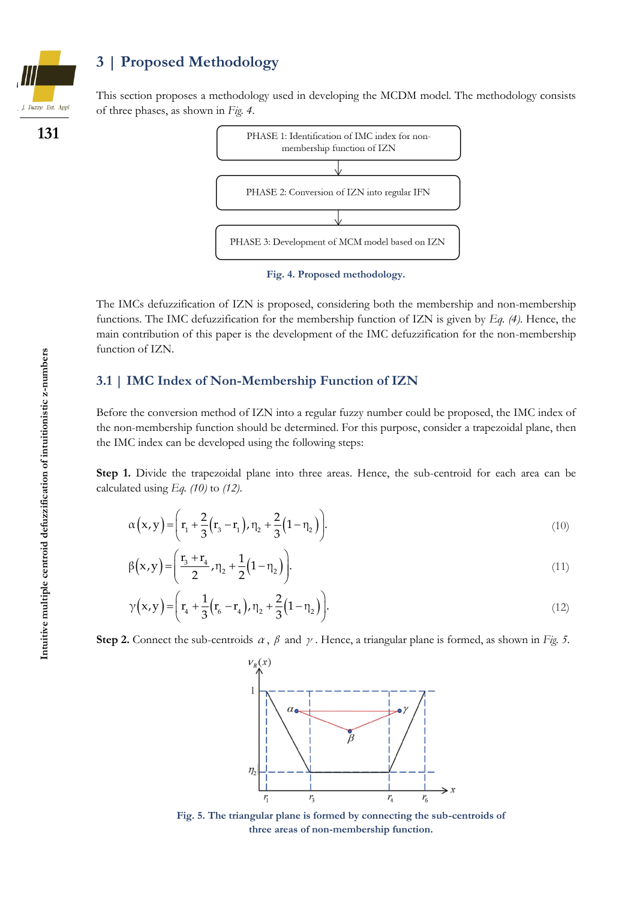

**131**

## **3 | Proposed Methodology**

This section proposes a methodology used in developing the MCDM model. The methodology consists of three phases, as shown in *Fig. 4*.



**Fig. 4. Proposed methodology.**

The IMCs defuzzification of IZN is proposed, considering both the membership and non-membership functions. The IMC defuzzification for the membership function of IZN is given by *Eq. (4)*. Hence, the main contribution of this paper is the development of the IMC defuzzification for the non-membership function of IZN.

#### **3.1 | IMC Index of Non-Membership Function of IZN**

Before the conversion method of IZN into a regular fuzzy number could be proposed, the IMC index of the non-membership function should be determined. For this purpose, consider a trapezoidal plane, then the IMC index can be developed using the following steps:

**Step 1.** Divide the trapezoidal plane into three areas. Hence, the sub-centroid for each area can be calculated using *Eq. (10)* to *(12)*.

$$
\alpha(x,y) = \left(r_1 + \frac{2}{3}(r_3 - r_1), \eta_2 + \frac{2}{3}(1 - \eta_2)\right).
$$
\n(10)

$$
\beta(x,y) = \left(\frac{r_3 + r_4}{2}, \eta_2 + \frac{1}{2}(1 - \eta_2)\right).
$$
\n(11)

$$
\gamma(x,y) = \left(r_4 + \frac{1}{3}(r_6 - r_4), \eta_2 + \frac{2}{3}(1 - \eta_2)\right).
$$
\n(12)

**Step 2.** Connect the sub-centroids  $\alpha$ ,  $\beta$  and  $\gamma$ . Hence, a triangular plane is formed, as shown in *Fig.* 5.



**Fig. 5. The triangular plane is formed by connecting the sub-centroids of three areas of non-membership function.**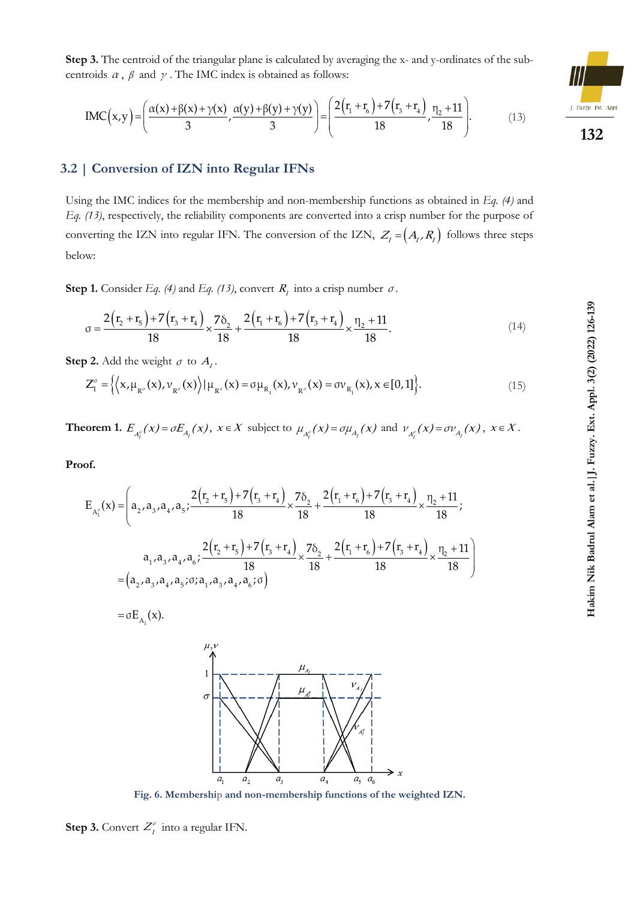Step 3. The centroid of the triangular plane is calculated by averaging the x- and y-ordinates of the sub-  
centroids 
$$
\alpha
$$
,  $\beta$  and  $\gamma$ . The IMC index is obtained as follows:  

$$
IMC(x,y) = \left(\frac{\alpha(x) + \beta(x) + \gamma(x)}{3}, \frac{\alpha(y) + \beta(y) + \gamma(y)}{3}\right) = \left(\frac{2(r_1 + r_6) + 7(r_3 + r_4)}{18}, \frac{n_2 + 11}{18}\right).
$$
(13)

#### **3.2 | Conversion of IZN into Regular IFNs**

Using the IMC indices for the membership and non-membership functions as obtained in *Eq. (4)* and *Eq. (13)*, respectively, the reliability components are converted into a crisp number for the purpose of converting the IZN into regular IFN. The conversion of the IZN,  $Z_I = (A_I, R_I)$  follows three steps below:

Step 1. Consider *Eq.* (4) and *Eq.* (13), convert *R<sub>I</sub>* into a crisp number 
$$
\sigma
$$
.  
\n
$$
\sigma = \frac{2(r_2 + r_5) + 7(r_3 + r_4)}{18} \times \frac{7\delta_2}{18} + \frac{2(r_1 + r_6) + 7(r_3 + r_4)}{18} \times \frac{n_2 + 11}{18}.
$$
\n(14)

**Step 2.** Add the weight  $\sigma$  to  $A<sub>I</sub>$ .

$$
\mathbf{p} \ \mathbf{2.} \ \text{Add the weight } \sigma \text{ to } A_I.
$$
\n
$$
Z_I^{\sigma} = \left\{ \left\langle \mathbf{x}, \mu_{\mathbb{R}^{\sigma}}(\mathbf{x}), \nu_{\mathbb{R}^{\sigma}}(\mathbf{x}) \right\rangle | \mu_{\mathbb{R}^{\sigma}}(\mathbf{x}) = \sigma \mu_{\mathbb{R}_I}(\mathbf{x}), \nu_{\mathbb{R}^{\sigma}}(\mathbf{x}) = \sigma \nu_{\mathbb{R}_I}(\mathbf{x}), \mathbf{x} \in [0,1] \right\}. \tag{15}
$$

**Theorem 1.**  $E_{A_i^{\sigma}}(x) = \sigma E_{A_i}(x)$ ,  $x \in X$  subject to  $\mu_{A_i^{\sigma}}(x) = \sigma \mu_{A_i}(x)$  and  $\nu_{A_i^{\sigma}}(x) = \sigma \nu_{A_i}(x)$ ,  $x \in X$ .

**Proof.**

$$
\begin{split}\n\mathbf{B}_{\mathbf{A}_{1}^{\sigma}}(\mathbf{x}) &= \left( a_{2}, a_{3}, a_{4}, a_{5}; \frac{2(r_{2} + r_{5}) + 7(r_{3} + r_{4})}{18} \times \frac{7\delta_{2}}{18} + \frac{2(r_{1} + r_{6}) + 7(r_{3} + r_{4})}{18} \times \frac{n_{2} + 11}{18}; \right. \\
&\left. a_{1}, a_{3}, a_{4}, a_{6}; \frac{2(r_{2} + r_{5}) + 7(r_{3} + r_{4})}{18} \times \frac{7\delta_{2}}{18} + \frac{2(r_{1} + r_{6}) + 7(r_{3} + r_{4})}{18} \times \frac{n_{2} + 11}{18} \right) \\
&= \left( a_{2}, a_{3}, a_{4}, a_{5}; \sigma; a_{1}, a_{3}, a_{4}, a_{6}; \sigma \right) \\
&= \sigma E_{\mathbf{A}_{1}}(\mathbf{x}).\n\end{split}
$$

$$
=\sigma E_{A_{I}}(x).
$$



**Fig. 6. Membershi**p **and non-membership functions of the weighted IZN.**

**Step 3.** Convert  $Z_i^{\sigma}$  into a regular IFN.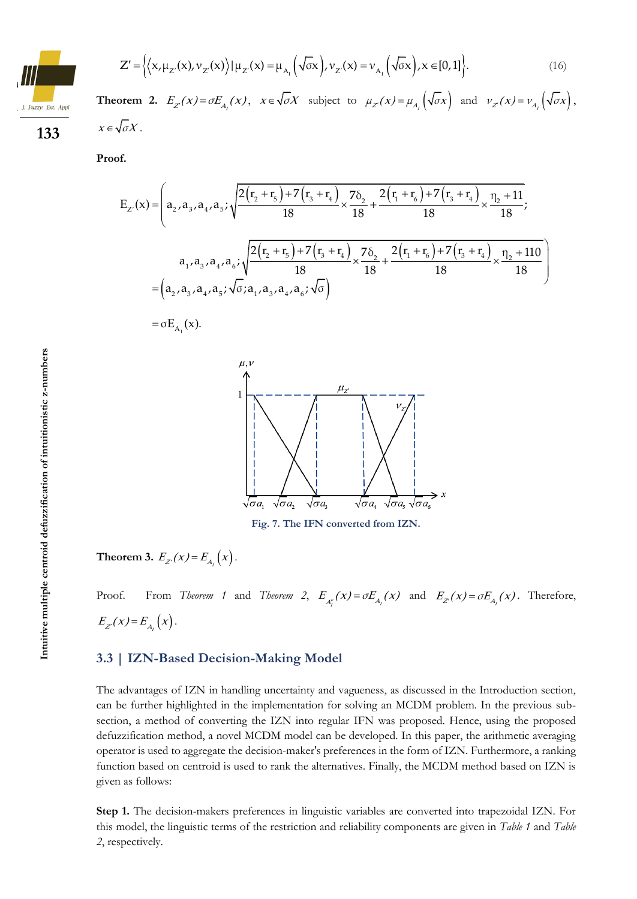$$
Z' = \left\{ \left\langle x, \mu_{Z}(x), \nu_{Z}(x) \right\rangle | \mu_{Z}(x) = \mu_{A_1} \left( \sqrt{\sigma} x \right), \nu_{Z}(x) = \nu_{A_1} \left( \sqrt{\sigma} x \right), x \in [0, 1] \right\}.
$$
 (16)

**Theorem 2.**  $E_z(x) = \sigma E_{A_z}(x)$ ,  $x \in \sqrt{\sigma X}$  subject to  $\mu_{Z}(x) = \mu_{A_z}(\sqrt{\sigma x})$  and  $\nu_{Z}(x) = \nu_{A_z}(\sqrt{\sigma x})$ ,  $x \in \sqrt{\sigma}X$ .

**Proof.**

**133**

Fuzzy, Ext. Anni

$$
\mathbf{f.}
$$
\n
$$
\mathbf{E}_{z'}(x) = \left( a_2, a_3, a_4, a_5; \sqrt{\frac{2(r_2 + r_5) + 7(r_3 + r_4)}{18} \times \frac{7\delta_2}{18} + \frac{2(r_1 + r_6) + 7(r_3 + r_4)}{18} \times \frac{n_2 + 11}{18}}; \frac{n_2 + 11}{18} \right)
$$
\n
$$
a_1, a_3, a_4, a_6; \sqrt{\frac{2(r_2 + r_5) + 7(r_3 + r_4)}{18} \times \frac{7\delta_2}{18} + \frac{2(r_1 + r_6) + 7(r_3 + r_4)}{18} \times \frac{n_2 + 110}{18}} \right)
$$
\n
$$
= \left( a_2, a_3, a_4, a_5; \sqrt{\sigma}; a_1, a_3, a_4, a_6; \sqrt{\sigma} \right)
$$
\n
$$
= \sigma \mathbf{E}_{A_1}(x).
$$

$$
=\sigma E_{A_{I}}(x).
$$



**Fig. 7. The IFN converted from IZN.**

**Theorem 3.**  $E_{Z}(x) = E_{A_{I}}(x)$ .

Proof. From *Theorem 1* and *Theorem 2*,  $E_{A_i^{\sigma}}(x) = \sigma E_{A_i}(x)$  and  $E_{Z}(x) = \sigma E_{A_i}(x)$ . Therefore,  $E_{Z}(x) = E_{A_{I}}(x)$ .

#### **3.3 | IZN-Based Decision-Making Model**

The advantages of IZN in handling uncertainty and vagueness, as discussed in the Introduction section, can be further highlighted in the implementation for solving an MCDM problem. In the previous subsection, a method of converting the IZN into regular IFN was proposed. Hence, using the proposed defuzzification method, a novel MCDM model can be developed. In this paper, the arithmetic averaging operator is used to aggregate the decision-maker's preferences in the form of IZN. Furthermore, a ranking function based on centroid is used to rank the alternatives. Finally, the MCDM method based on IZN is given as follows:

**Step 1.** The decision-makers preferences in linguistic variables are converted into trapezoidal IZN. For this model, the linguistic terms of the restriction and reliability components are given in *Table 1* and *Table 2*, respectively.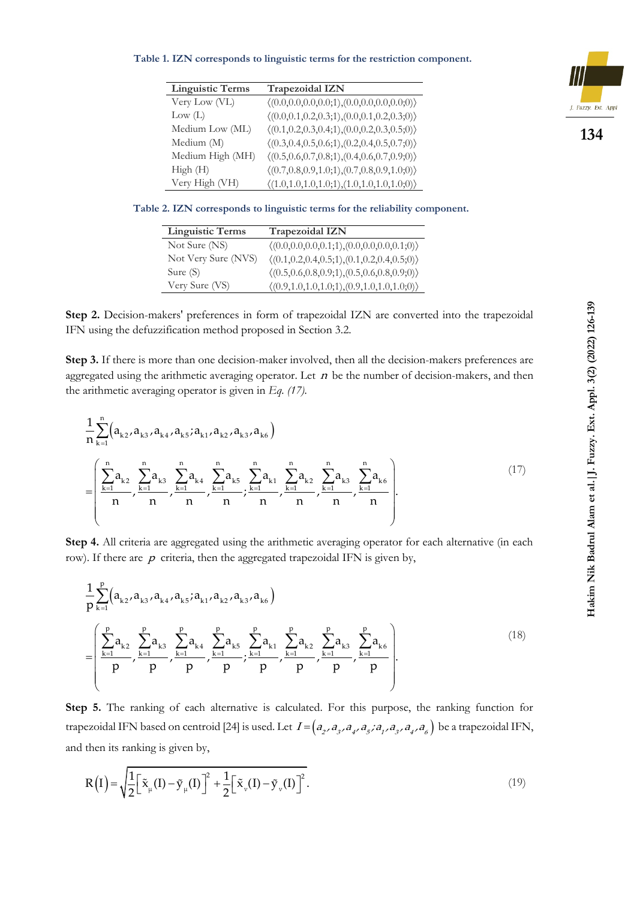#### **Table 1. IZN corresponds to linguistic terms for the restriction component.**

| <b>Linguistic Terms</b> | Trapezoidal IZN                                                         |
|-------------------------|-------------------------------------------------------------------------|
| Very Low (VL)           | $\langle (0.0, 0.0, 0.0, 0.0; 1), (0.0, 0.0, 0.0, 0.0; 0) \rangle$      |
| Low (L)                 | $\langle (0.0, 0.1, 0.2, 0.3, 1), (0.0, 0.1, 0.2, 0.3, 0) \rangle$      |
| Medium Low (ML)         | $\langle (0.1, 0.2, 0.3, 0.4, 1), (0.0, 0.2, 0.3, 0.5, 0) \rangle$      |
| Medium (M)              | $\langle (0.3, 0.4, 0.5, 0.6, 1), (0.2, 0.4, 0.5, 0.7, 0) \rangle$      |
| Medium High (MH)        | $\langle (0.5, 0.6, 0.7, 0.8, 1), (0.4, 0.6, 0.7, 0.9, 0) \rangle$      |
| High(H)                 | $\langle (0.7, 0.8, 0.9, 1.0; 1), (0.7, 0.8, 0.9, 1.0; 0) \rangle$      |
| Very High (VH)          | $\langle (1.0, 1.0, 1.0, 1.0, 1.0, 1), (1.0, 1.0, 1.0, 1.0, 0) \rangle$ |

**Table 2. IZN corresponds to linguistic terms for the reliability component.**

| <b>Linguistic Terms</b> | <b>Trapezoidal IZN</b>                                             |
|-------------------------|--------------------------------------------------------------------|
| Not Sure (NS)           | $\langle (0.0, 0.0, 0.0, 0.1; 1), (0.0, 0.0, 0.0, 0.1; 0) \rangle$ |
| Not Very Sure (NVS)     | $\langle (0.1, 0.2, 0.4, 0.5; 1), (0.1, 0.2, 0.4, 0.5; 0) \rangle$ |
| Sure $(S)$              | $\langle (0.5, 0.6, 0.8, 0.9; 1), (0.5, 0.6, 0.8, 0.9; 0) \rangle$ |
| Very Sure (VS)          | $\langle (0.9, 1.0, 1.0, 1.0, 1), (0.9, 1.0, 1.0, 1.0, 0) \rangle$ |

Step 2. Decision-makers' preferences in form of trapezoidal IZN are converted into the trapezoidal IFN using the defuzzification method proposed in Section 3.2.

**Step 3.** If there is more than one decision-maker involved, then all the decision-makers preferences are aggregated using the arithmetic averaging operator. Let  $n$  be the number of decision-makers, and then the arithmetic averaging operator is given in *Eq. (17).*

$$
\frac{1}{n} \sum_{k=1}^{n} (a_{k2}, a_{k3}, a_{k4}, a_{k5}, a_{k1}, a_{k2}, a_{k3}, a_{k6})
$$
\n
$$
= \left( \frac{\sum_{k=1}^{n} a_{k2}}{n}, \frac{\sum_{k=1}^{n} a_{k3}}{n}, \frac{\sum_{k=1}^{n} a_{k4}}{n}, \frac{\sum_{k=1}^{n} a_{k5}}{n}, \frac{\sum_{k=1}^{n} a_{k1}}{n}, \frac{\sum_{k=1}^{n} a_{k2}}{n}, \frac{\sum_{k=1}^{n} a_{k3}}{n}, \frac{\sum_{k=1}^{n} a_{k6}}{n} \right).
$$
\n(17)

**Step 4.** All criteria are aggregated using the arithmetic averaging operator for each alternative (in each row). If there are  $p$  criteria, then the aggregated trapezoidal IFN is given by,

$$
\frac{1}{p} \sum_{k=1}^{p} (a_{k2}, a_{k3}, a_{k4}, a_{k5}, a_{k1}, a_{k2}, a_{k3}, a_{k6})
$$
\n
$$
= \left( \frac{\sum_{k=1}^{p} a_{k2}}{p}, \frac{\sum_{k=1}^{p} a_{k3}}{p}, \frac{\sum_{k=1}^{p} a_{k4}}{p}, \frac{\sum_{k=1}^{p} a_{k5}}{p}, \frac{\sum_{k=1}^{p} a_{k1}}{p}, \frac{\sum_{k=1}^{p} a_{k2}}{p}, \frac{\sum_{k=1}^{p} a_{k3}}{p}, \frac{\sum_{k=1}^{p} a_{k6}}{p} \right).
$$
\n(18)

**Step 5.** The ranking of each alternative is calculated. For this purpose, the ranking function for trapezoidal IFN based on centroid [24] is used. Let  $I = (a_2, a_3, a_4, a_5, a_1, a_3, a_4, a_6)$  be a trapezoidal IFN, and then its ranking is given by,

$$
R(I) = \sqrt{\frac{1}{2} \left[ \tilde{x}_{\mu}(I) - \tilde{y}_{\mu}(I) \right]^2 + \frac{1}{2} \left[ \tilde{x}_{\nu}(I) - \tilde{y}_{\nu}(I) \right]^2}.
$$
 (19)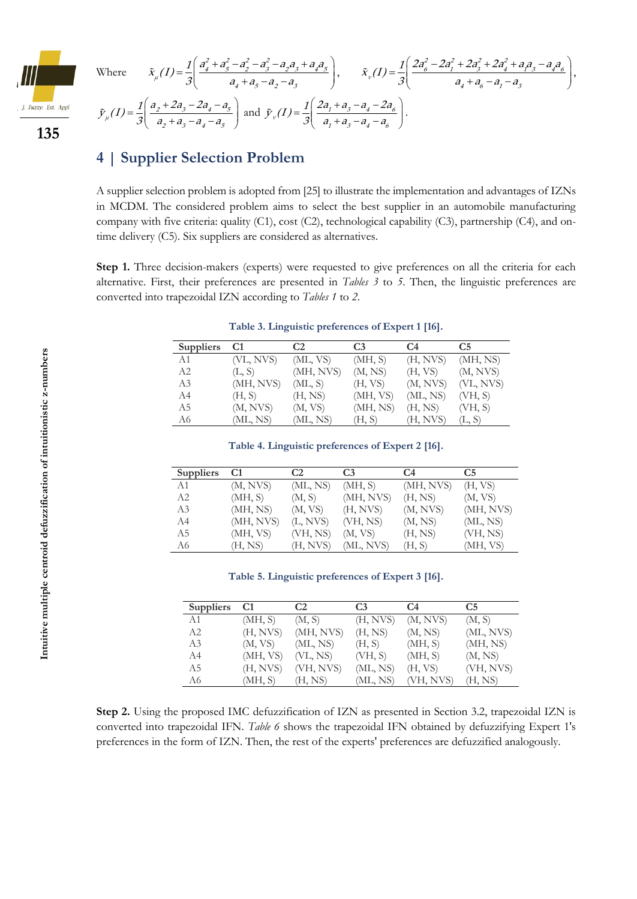

**135**

Where 
$$
\tilde{x}_{\mu}(I) = \frac{1}{3} \left( \frac{a_4^2 + a_5^2 - a_2^2 - a_3^2 - a_2 a_3 + a_4 a_5}{a_4 + a_5 - a_2 - a_3} \right), \qquad \tilde{x}_{\nu}(I) = \frac{1}{3} \left( \frac{2a_6^2 - 2a_1^2 + 2a_3^2 + 2a_4^2 + a_1 a_3 - a_4 a_6}{a_4 + a_6 - a_1 - a_3} \right),
$$

$$
\tilde{y}_{\mu}(I) = \frac{1}{3} \left( \frac{a_2 + 2a_3 - 2a_4 - a_5}{a_2 + a_3 - a_4 - a_5} \right) \text{ and } \tilde{y}_{\nu}(I) = \frac{1}{3} \left( \frac{2a_1 + a_3 - a_4 - 2a_6}{a_1 + a_3 - a_4 - a_6} \right).
$$

### **4 | Supplier Selection Problem**

A supplier selection problem is adopted from [25] to illustrate the implementation and advantages of IZNs in MCDM. The considered problem aims to select the best supplier in an automobile manufacturing company with five criteria: quality (C1), cost (C2), technological capability (C3), partnership (C4), and ontime delivery (C5). Six suppliers are considered as alternatives.

**Step 1.** Three decision-makers (experts) were requested to give preferences on all the criteria for each alternative. First, their preferences are presented in *Tables 3* to *5*. Then, the linguistic preferences are converted into trapezoidal IZN according to *Tables 1* to *2*.

| <b>Suppliers</b> | C <sub>1</sub> | C <sub>2</sub> | C <sub>3</sub> | C <sub>4</sub> | C5        |
|------------------|----------------|----------------|----------------|----------------|-----------|
| A1               | (VL, NVS)      | (ML, VS)       | (MH, S)        | (H, NVS)       | (MH, NS)  |
| A2               | (L, S)         | (MH, NVS)      | (M, NS)        | (H, VS)        | (M, NVS)  |
| A3               | (MH, NVS)      | (ML, S)        | (H, VS)        | (M, NVS)       | (VL, NVS) |
| A4               | (H, S)         | (H, NS)        | (MH, VS)       | (ML, NS)       | (VH, S)   |
| A <sub>5</sub>   | (M, NVS)       | (M, VS)        | (MH, NS)       | (H, NS)        | (VH, S)   |
| A6               | (ML, NS)       | (ML, NS)       | (H, S)         | (H, NVS)       | (L, S)    |

**Table 3. Linguistic preferences of Expert 1 [16].**

**Table 4. Linguistic preferences of Expert 2 [16].**

| <b>Suppliers</b> | C <sub>1</sub> | C <sub>2</sub> | C <sub>3</sub> | C4        | C <sub>5</sub> |
|------------------|----------------|----------------|----------------|-----------|----------------|
| A1               | (M, NVS)       | (ML, NS)       | (MH, S)        | (MH, NVS) | (H, VS)        |
| A2               | (MH, S)        | (M, S)         | (MH, NVS)      | (H, NS)   | (M, VS)        |
| A <sub>3</sub>   | (MH, NS)       | (M, VS)        | (H, NVS)       | (M, NVS)  | (MH, NVS)      |
| A4               | (MH, NVS)      | (L, NVS)       | (VH, NS)       | (M, NS)   | (ML, NS)       |
| A5               | (MH, VS)       | (VH, NS)       | (M, VS)        | (H, NS)   | (VH, NS)       |
| A6               | (H, NS)        | (H, NVS)       | (ML, NVS)      | (H, S)    | (MH, VS)       |

**Table 5. Linguistic preferences of Expert 3 [16].**

| <b>Suppliers</b> | C1       | C2        | C <sub>3</sub> | C4        | C <sub>5</sub> |
|------------------|----------|-----------|----------------|-----------|----------------|
| A1               | (MH, S)  | (M, S)    | (H, NVS)       | (M, NVS)  | (M, S)         |
| A <sub>2</sub>   | (H, NVS) | (MH, NVS) | (H, NS)        | (M, NS)   | (ML, NVS)      |
| A3               | (M, VS)  | (ML, NS)  | (H, S)         | (MH, S)   | (MH, NS)       |
| A4               | (MH, VS) | (VL, NS)  | (VH, S)        | (MH, S)   | (M, NS)        |
| A5               | (H, NVS) | (VH, NVS) | (ML, NS)       | (H, VS)   | (VH, NVS)      |
| A6               | (MH, S)  | (H, NS)   | (ML, NS)       | (VH, NVS) | (H, NS)        |

**Step 2.** Using the proposed IMC defuzzification of IZN as presented in Section 3.2, trapezoidal IZN is converted into trapezoidal IFN. *Table 6* shows the trapezoidal IFN obtained by defuzzifying Expert 1's preferences in the form of IZN. Then, the rest of the experts' preferences are defuzzified analogously.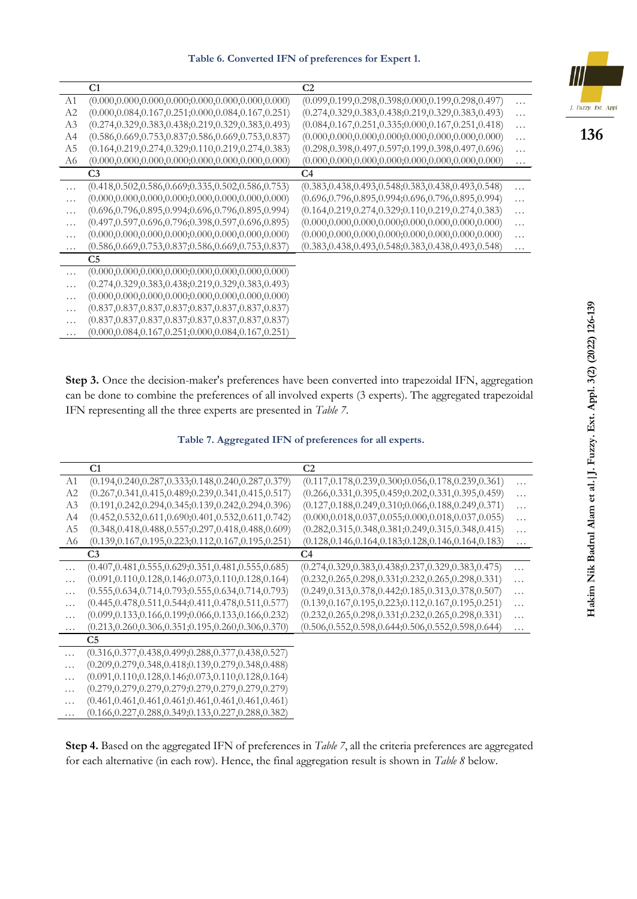**Table 6. Converted IFN of preferences for Expert 1.**

|          | C1                                                         | C2                                                         |          |
|----------|------------------------------------------------------------|------------------------------------------------------------|----------|
| A1       | $(0.000, 0.000, 0.000, 0.000; 0.000, 0.000, 0.000, 0.000)$ | $(0.099, 0.199, 0.298, 0.398; 0.000, 0.199, 0.298, 0.497)$ | .        |
| A2       | $(0.000, 0.084, 0.167, 0.251, 0.000, 0.084, 0.167, 0.251)$ | $(0.274, 0.329, 0.383, 0.438; 0.219, 0.329, 0.383, 0.493)$ | .        |
| A3       | $(0.274, 0.329, 0.383, 0.438; 0.219, 0.329, 0.383, 0.493)$ | $(0.084, 0.167, 0.251, 0.335; 0.000, 0.167, 0.251, 0.418)$ | .        |
| A4       | $(0.586, 0.669, 0.753, 0.837; 0.586, 0.669, 0.753, 0.837)$ | $(0.000, 0.000, 0.000, 0.000; 0.000, 0.000, 0.000, 0.000)$ | .        |
| A5       | $(0.164, 0.219, 0.274, 0.329; 0.110, 0.219, 0.274, 0.383)$ | $(0.298, 0.398, 0.497, 0.597; 0.199, 0.398, 0.497, 0.696)$ | .        |
| A6       | $(0.000, 0.000, 0.000, 0.000; 0.000, 0.000, 0.000, 0.000)$ | $(0.000, 0.000, 0.000, 0.000; 0.000, 0.000, 0.000, 0.000)$ | $\cdots$ |
|          | C <sub>3</sub>                                             | C4                                                         |          |
| $\cdots$ | $(0.418, 0.502, 0.586, 0.669; 0.335, 0.502, 0.586, 0.753)$ | $(0.383, 0.438, 0.493, 0.548; 0.383, 0.438, 0.493, 0.548)$ | $\cdots$ |
| .        | $(0.000, 0.000, 0.000, 0.000; 0.000, 0.000, 0.000, 0.000)$ | $(0.696, 0.796, 0.895, 0.994, 0.696, 0.796, 0.895, 0.994)$ | $\cdots$ |
| $\cdots$ | $(0.696, 0.796, 0.895, 0.994, 0.696, 0.796, 0.895, 0.994)$ | $(0.164, 0.219, 0.274, 0.329; 0.110, 0.219, 0.274, 0.383)$ | $\cdots$ |
| $\cdots$ | $(0.497, 0.597, 0.696, 0.796; 0.398, 0.597, 0.696, 0.895)$ | $(0.000, 0.000, 0.000, 0.000, 0.000, 0.000, 0.000, 0.000)$ | $\cdots$ |
| $\cdots$ | $(0.000, 0.000, 0.000, 0.000; 0.000, 0.000, 0.000, 0.000)$ | $(0.000, 0.000, 0.000, 0.000; 0.000, 0.000, 0.000, 0.000)$ | .        |
| $\ldots$ | $(0.586, 0.669, 0.753, 0.837; 0.586, 0.669, 0.753, 0.837)$ | $(0.383, 0.438, 0.493, 0.548; 0.383, 0.438, 0.493, 0.548)$ | .        |
|          | C <sub>5</sub>                                             |                                                            |          |
| $\cdots$ | $(0.000, 0.000, 0.000, 0.000; 0.000, 0.000, 0.000, 0.000)$ |                                                            |          |
| .        | $(0.274, 0.329, 0.383, 0.438; 0.219, 0.329, 0.383, 0.493)$ |                                                            |          |
| $\cdots$ | $(0.000, 0.000, 0.000, 0.000, 0.000, 0.000, 0.000, 0.000)$ |                                                            |          |
| $\cdots$ | $(0.837, 0.837, 0.837, 0.837, 0.837, 0.837, 0.837, 0.837)$ |                                                            |          |
| $\ldots$ | $(0.837, 0.837, 0.837, 0.837; 0.837, 0.837, 0.837, 0.837)$ |                                                            |          |
| .        | $(0.000, 0.084, 0.167, 0.251; 0.000, 0.084, 0.167, 0.251)$ |                                                            |          |

**Step 3.** Once the decision-maker's preferences have been converted into trapezoidal IFN, aggregation can be done to combine the preferences of all involved experts (3 experts). The aggregated trapezoidal IFN representing all the three experts are presented in *Table 7*.

**Table 7. Aggregated IFN of preferences for all experts.**

|          | C <sub>1</sub>                                             | C <sub>2</sub>                                             |          |
|----------|------------------------------------------------------------|------------------------------------------------------------|----------|
| A1       | $(0.194, 0.240, 0.287, 0.333; 0.148, 0.240, 0.287, 0.379)$ | $(0.117, 0.178, 0.239, 0.300; 0.056, 0.178, 0.239, 0.361)$ | .        |
| A2       | $(0.267, 0.341, 0.415, 0.489; 0.239, 0.341, 0.415, 0.517)$ | $(0.266, 0.331, 0.395, 0.459; 0.202, 0.331, 0.395, 0.459)$ | $\cdots$ |
| A3       | $(0.191, 0.242, 0.294, 0.345; 0.139, 0.242, 0.294, 0.396)$ | $(0.127, 0.188, 0.249, 0.310, 0.066, 0.188, 0.249, 0.371)$ | .        |
| A4       | $(0.452, 0.532, 0.611, 0.690; 0.401, 0.532, 0.611, 0.742)$ | $(0.000, 0.018, 0.037, 0.055; 0.000, 0.018, 0.037, 0.055)$ | $\cdots$ |
| A5       | $(0.348, 0.418, 0.488, 0.557; 0.297, 0.418, 0.488, 0.609)$ | $(0.282, 0.315, 0.348, 0.381; 0.249, 0.315, 0.348, 0.415)$ | .        |
| A6       | $(0.139, 0.167, 0.195, 0.223; 0.112, 0.167, 0.195, 0.251)$ | $(0.128, 0.146, 0.164, 0.183; 0.128, 0.146, 0.164, 0.183)$ | $\cdots$ |
|          | C <sub>3</sub>                                             | C4                                                         |          |
| $\cdots$ | $(0.407, 0.481, 0.555, 0.629; 0.351, 0.481, 0.555, 0.685)$ | $(0.274, 0.329, 0.383, 0.438; 0.237, 0.329, 0.383, 0.475)$ | .        |
| .        | $(0.091, 0.110, 0.128, 0.146; 0.073, 0.110, 0.128, 0.164)$ | $(0.232, 0.265, 0.298, 0.331; 0.232, 0.265, 0.298, 0.331)$ | .        |
| .        | $(0.555, 0.634, 0.714, 0.793; 0.555, 0.634, 0.714, 0.793)$ | $(0.249, 0.313, 0.378, 0.442; 0.185, 0.313, 0.378, 0.507)$ | .        |
| $\cdots$ | $(0.445, 0.478, 0.511, 0.544; 0.411, 0.478, 0.511, 0.577)$ | $(0.139, 0.167, 0.195, 0.223; 0.112, 0.167, 0.195, 0.251)$ | $\cdots$ |
| $\ldots$ | $(0.099, 0.133, 0.166, 0.199; 0.066, 0.133, 0.166, 0.232)$ | $(0.232, 0.265, 0.298, 0.331; 0.232, 0.265, 0.298, 0.331)$ | .        |
| $\cdots$ | $(0.213, 0.260, 0.306, 0.351; 0.195, 0.260, 0.306, 0.370)$ | $(0.506, 0.552, 0.598, 0.644; 0.506, 0.552, 0.598, 0.644)$ | .        |
|          | C <sub>5</sub>                                             |                                                            |          |
| .        | $(0.316, 0.377, 0.438, 0.499; 0.288, 0.377, 0.438, 0.527)$ |                                                            |          |
| .        | $(0.209, 0.279, 0.348, 0.418; 0.139, 0.279, 0.348, 0.488)$ |                                                            |          |
| .        | $(0.091, 0.110, 0.128, 0.146; 0.073, 0.110, 0.128, 0.164)$ |                                                            |          |
| .        | $(0.279, 0.279, 0.279, 0.279, 0.279, 0.279, 0.279, 0.279)$ |                                                            |          |
| .        | $(0.461, 0.461, 0.461, 0.461, 0.461, 0.461, 0.461, 0.461)$ |                                                            |          |
|          | (0.166,0.227,0.288,0.349;0.133,0.227,0.288,0.382)          |                                                            |          |

**Step 4.** Based on the aggregated IFN of preferences in *Table 7*, all the criteria preferences are aggregated for each alternative (in each row). Hence, the final aggregation result is shown in *Table 8* below.

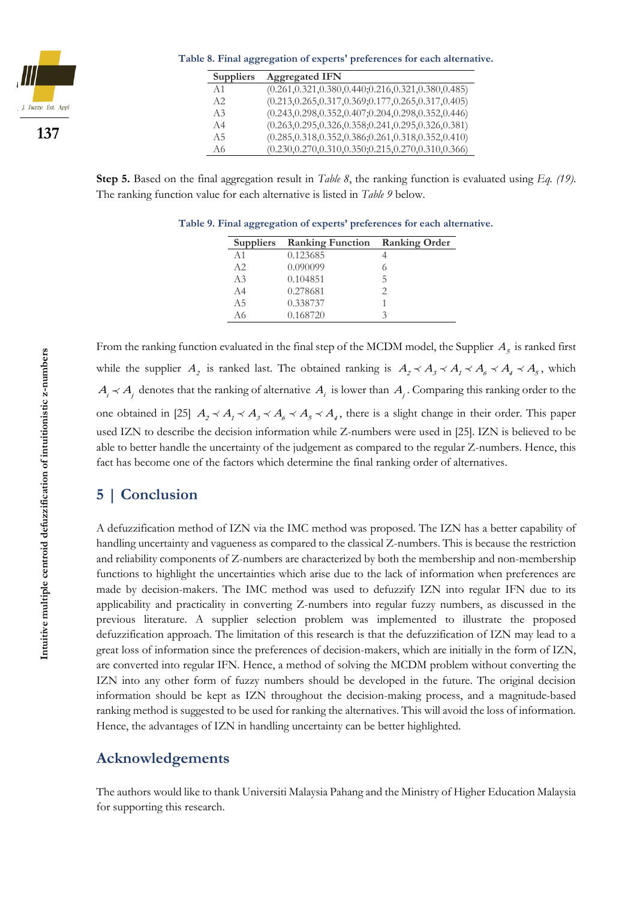

**Table 8. Final aggregation of experts' preferences for each alternative.**

| <b>Suppliers</b> | <b>Aggregated IFN</b>                                      |
|------------------|------------------------------------------------------------|
| A <sub>1</sub>   | $(0.261, 0.321, 0.380, 0.440; 0.216, 0.321, 0.380, 0.485)$ |
| A2               | $(0.213, 0.265, 0.317, 0.369; 0.177, 0.265, 0.317, 0.405)$ |
| A <sub>3</sub>   | $(0.243, 0.298, 0.352, 0.407; 0.204, 0.298, 0.352, 0.446)$ |
| A <sub>4</sub>   | $(0.263, 0.295, 0.326, 0.358; 0.241, 0.295, 0.326, 0.381)$ |
| A <sub>5</sub>   | $(0.285, 0.318, 0.352, 0.386; 0.261, 0.318, 0.352, 0.410)$ |
| A6               | $(0.230, 0.270, 0.310, 0.350; 0.215, 0.270, 0.310, 0.366)$ |

**Step 5.** Based on the final aggregation result in *Table 8*, the ranking function is evaluated using *Eq. (19)*. The ranking function value for each alternative is listed in *Table 9* below.

**Table 9. Final aggregation of experts' preferences for each alternative.**

| <b>Suppliers</b> | <b>Ranking Function</b> | <b>Ranking Order</b> |
|------------------|-------------------------|----------------------|
| A <sub>1</sub>   | 0.123685                |                      |
| A2               | 0.090099                |                      |
| A <sub>3</sub>   | 0.104851                | 5                    |
| A4               | 0.278681                | 2                    |
| A <sub>5</sub>   | 0.338737                |                      |
| A6               | 0.168720                |                      |

From the ranking function evaluated in the final step of the MCDM model, the Supplier  $A_5$  is ranked first while the supplier  $A_2$  is ranked last. The obtained ranking is  $A_2 \prec A_3 \prec A_1 \prec A_6 \prec A_4 \prec A_5$ , which  $A_i \prec A_j$  denotes that the ranking of alternative  $A_i$  is lower than  $A_j$ . Comparing this ranking order to the one obtained in [25]  $A_2 \prec A_1 \prec A_3 \prec A_6 \prec A_5 \prec A_4$ , there is a slight change in their order. This paper used IZN to describe the decision information while Z-numbers were used in [25]. IZN is believed to be able to better handle the uncertainty of the judgement as compared to the regular Z-numbers. Hence, this fact has become one of the factors which determine the final ranking order of alternatives.

## **5 | Conclusion**

A defuzzification method of IZN via the IMC method was proposed. The IZN has a better capability of handling uncertainty and vagueness as compared to the classical Z-numbers. This is because the restriction and reliability components of Z-numbers are characterized by both the membership and non-membership functions to highlight the uncertainties which arise due to the lack of information when preferences are made by decision-makers. The IMC method was used to defuzzify IZN into regular IFN due to its applicability and practicality in converting Z-numbers into regular fuzzy numbers, as discussed in the previous literature. A supplier selection problem was implemented to illustrate the proposed defuzzification approach. The limitation of this research is that the defuzzification of IZN may lead to a great loss of information since the preferences of decision-makers, which are initially in the form of IZN, are converted into regular IFN. Hence, a method of solving the MCDM problem without converting the IZN into any other form of fuzzy numbers should be developed in the future. The original decision information should be kept as IZN throughout the decision-making process, and a magnitude-based ranking method is suggested to be used for ranking the alternatives. This will avoid the loss of information. Hence, the advantages of IZN in handling uncertainty can be better highlighted.

### **Acknowledgements**

The authors would like to thank Universiti Malaysia Pahang and the Ministry of Higher Education Malaysia for supporting this research.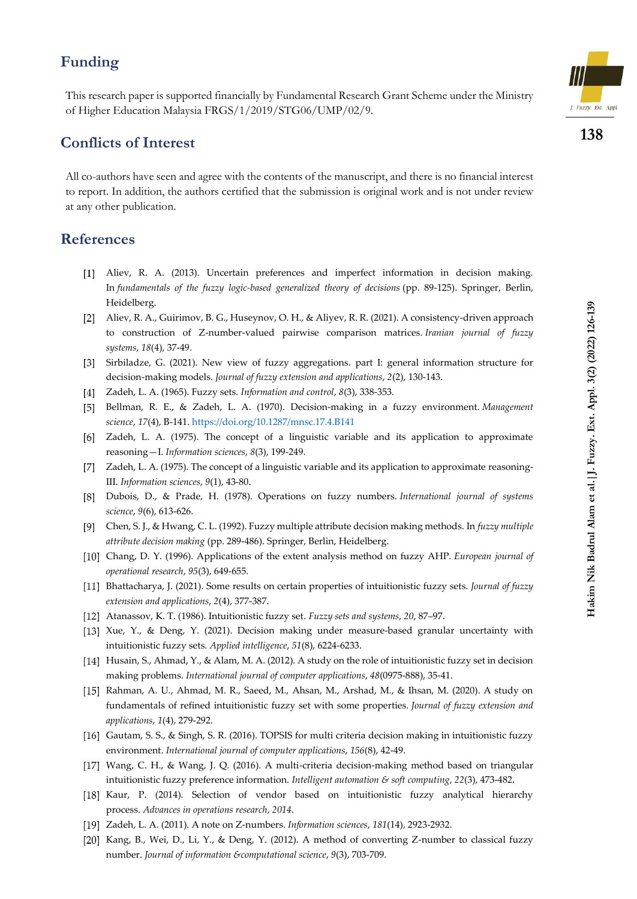### **Funding**

This research paper is supported financially by Fundamental Research Grant Scheme under the Ministry of Higher Education Malaysia FRGS/1/2019/STG06/UMP/02/9.

## **Conflicts of Interest**

All co-authors have seen and agree with the contents of the manuscript, and there is no financial interest to report. In addition, the authors certified that the submission is original work and is not under review at any other publication.

## **References**

- Aliev, R. A. (2013). Uncertain preferences and imperfect information in decision making. In *fundamentals of the fuzzy logic-based generalized theory of decisions* (pp. 89-125). Springer, Berlin, Heidelberg.
- Aliev, R. A., Guirimov, B. G., Huseynov, O. H., & Aliyev, R. R. (2021). A consistency-driven approach to construction of Z-number-valued pairwise comparison matrices. *Iranian journal of fuzzy systems*, *18*(4), 37-49.
- [3] Sirbiladze, G. (2021). New view of fuzzy aggregations. part I: general information structure for decision-making models. *Journal of fuzzy extension and applications*, *2*(2), 130-143.
- Zadeh, L. A. (1965). Fuzzy sets. *Information and control*, *8*(3), 338-353.
- Bellman, R. E., & Zadeh, L. A. (1970). Decision-making in a fuzzy environment. *Management science*, *17*(4), B-141[. https://doi.org/10.1287/mnsc.17.4.B141](https://doi.org/10.1287/mnsc.17.4.B141)
- [6] Zadeh, L. A. (1975). The concept of a linguistic variable and its application to approximate reasoning—I. *Information sciences*, *8*(3), 199-249.
- [7] Zadeh, L. A. (1975). The concept of a linguistic variable and its application to approximate reasoning-III. *Information sciences*, *9*(1), 43-80.
- Dubois, D., & Prade, H. (1978). Operations on fuzzy numbers. *International journal of systems science*, *9*(6), 613-626.
- Chen, S. J., & Hwang, C. L. (1992). Fuzzy multiple attribute decision making methods. In *fuzzy multiple attribute decision making* (pp. 289-486). Springer, Berlin, Heidelberg.
- Chang, D. Y. (1996). Applications of the extent analysis method on fuzzy AHP. *European journal of operational research*, *95*(3), 649-655.
- Bhattacharya, J. (2021). Some results on certain properties of intuitionistic fuzzy sets. *Journal of fuzzy extension and applications*, *2*(4), 377-387.
- Atanassov, K. T. (1986). Intuitionistic fuzzy set. *Fuzzy sets and systems*, *20*, 87–97.
- [13] Xue, Y., & Deng, Y. (2021). Decision making under measure-based granular uncertainty with intuitionistic fuzzy sets. *Applied intelligence*, *51*(8), 6224-6233.
- [14] Husain, S., Ahmad, Y., & Alam, M. A. (2012). A study on the role of intuitionistic fuzzy set in decision making problems. *International journal of computer applications*, *48*(0975-888), 35-41.
- [15] Rahman, A. U., Ahmad, M. R., Saeed, M., Ahsan, M., Arshad, M., & Ihsan, M. (2020). A study on fundamentals of refined intuitionistic fuzzy set with some properties. *Journal of fuzzy extension and applications*, *1*(4), 279-292.
- [16] Gautam, S. S., & Singh, S. R. (2016). TOPSIS for multi criteria decision making in intuitionistic fuzzy environment. *International journal of computer applications*, *156*(8), 42-49.
- Wang, C. H., & Wang, J. Q. (2016). A multi-criteria decision-making method based on triangular intuitionistic fuzzy preference information. *Intelligent automation & soft computing*, *22*(3), 473-482.
- [18] Kaur, P. (2014). Selection of vendor based on intuitionistic fuzzy analytical hierarchy process. *Advances in operations research*, *2014*.
- Zadeh, L. A. (2011). A note on Z-numbers. *Information sciences*, *181*(14), 2923-2932.
- [20] Kang, B., Wei, D., Li, Y., & Deng, Y. (2012). A method of converting Z-number to classical fuzzy number. *Journal of information &computational science*, *9*(3), 703-709.